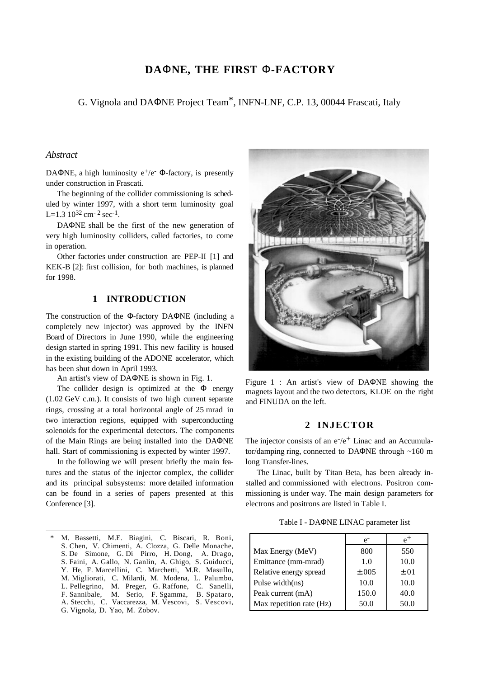# **DA**Φ**NE, THE FIRST** Φ**-FACTORY**

G. Vignola and DAΦNE Project Team\*, INFN-LNF, C.P. 13, 00044 Frascati, Italy

### *Abstract*

 $\overline{a}$ 

DAΦNE, a high luminosity  $e^+/e^-$  Φ-factory, is presently under construction in Frascati.

The beginning of the collider commissioning is scheduled by winter 1997, with a short term luminosity goal L=1.3  $10^{32}$  cm<sup>-2</sup> sec<sup>-1</sup>.

DAΦNE shall be the first of the new generation of very high luminosity colliders, called factories, to come in operation.

Other factories under construction are PEP-II [1] and KEK-B [2]: first collision, for both machines, is planned for 1998.

### **1 INTRODUCTION**

The construction of the Φ-factory DAΦNE (including a completely new injector) was approved by the INFN Board of Directors in June 1990, while the engineering design started in spring 1991. This new facility is housed in the existing building of the ADONE accelerator, which has been shut down in April 1993.

An artist's view of DAΦNE is shown in Fig. 1.

The collider design is optimized at the  $\Phi$  energy (1.02 GeV c.m.). It consists of two high current separate rings, crossing at a total horizontal angle of 25 mrad in two interaction regions, equipped with superconducting solenoids for the experimental detectors. The components of the Main Rings are being installed into the DAΦNE hall. Start of commissioning is expected by winter 1997.

In the following we will present briefly the main features and the status of the injector complex, the collider and its principal subsystems: more detailed information can be found in a series of papers presented at this Conference [3].



Figure 1 : An artist's view of DAΦNE showing the magnets layout and the two detectors, KLOE on the right and FINUDA on the left.

### **2 INJECTOR**

The injector consists of an  $e^{-}/e^{+}$  Linac and an Accumulator/damping ring, connected to DAΦNE through ~160 m long Transfer-lines.

The Linac, built by Titan Beta, has been already installed and commissioned with electrons. Positron commissioning is under way. The main design parameters for electrons and positrons are listed in Table I.

Table I - DAΦNE LINAC parameter list

|                          | $e^-$      | $e^+$     |
|--------------------------|------------|-----------|
| Max Energy (MeV)         | 800        | 550       |
| Emittance (mm-mrad)      | 1.0        | 10.0      |
| Relative energy spread   | $\pm .005$ | $\pm .01$ |
| Pulse width(ns)          | 10.0       | 10.0      |
| Peak current (mA)        | 150.0      | 40.0      |
| Max repetition rate (Hz) | 50.0       | 50.0      |

M. Bassetti, M.E. Biagini, C. Biscari, R. Boni, S. Chen, V. Chimenti, A. Clozza, G. Delle Monache, S. De Simone, G. Di Pirro, H. Dong, A. Drago, S. Faini, A. Gallo, N. Ganlin, A. Ghigo, S. Guiducci, Y. He, F. Marcellini, C. Marchetti, M.R. Masullo, M. Migliorati, C. Milardi, M. Modena, L. Palumbo, L. Pellegrino, M. Preger, G. Raffone, C. Sanelli, F. Sannibale, M. Serio, F. Sgamma, B. Spataro, A. Stecchi, C. Vaccarezza, M. Vescovi, S. Vescovi, G. Vignola, D. Yao, M. Zobov.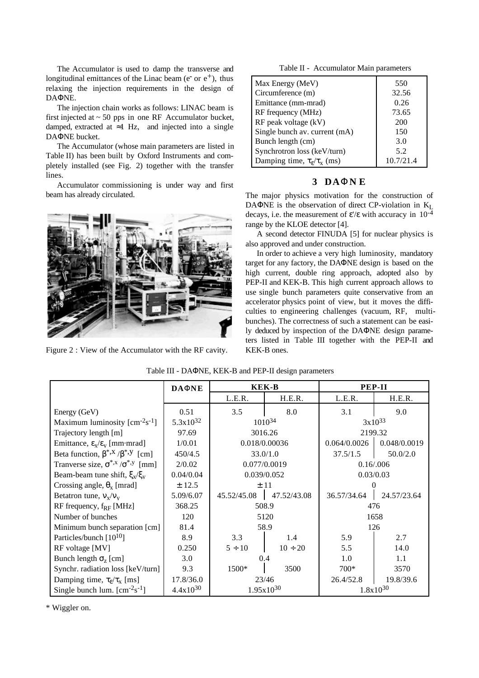The Accumulator is used to damp the transverse and longitudinal emittances of the Linac beam ( $e^-$  or  $e^+$ ), thus relaxing the injection requirements in the design of DAΦNE.

The injection chain works as follows: LINAC beam is first injected at  $\sim$  50 pps in one RF Accumulator bucket, damped, extracted at  $\approx$ 1 Hz, and injected into a single DAΦNE bucket.

The Accumulator (whose main parameters are listed in Table II) has been built by Oxford Instruments and completely installed (see Fig. 2) together with the transfer lines.

Accumulator commissioning is under way and first beam has already circulated.



Figure 2 : View of the Accumulator with the RF cavity.

Table II - Accumulator Main parameters

| Max Energy (MeV)                               | 550       |
|------------------------------------------------|-----------|
| Circumference (m)                              | 32.56     |
| Emittance (mm-mrad)                            | 0.26      |
| RF frequency (MHz)                             | 73.65     |
| RF peak voltage (kV)                           | 200       |
| Single bunch av. current (mA)                  | 150       |
| Bunch length (cm)                              | 3.0       |
| Synchrotron loss (keV/turn)                    | 5.2       |
| Damping time, $\tau_{\rm g}/\tau_{\rm x}$ (ms) | 10.7/21.4 |

## **3 DA**Φ**N E**

The major physics motivation for the construction of DAΦNE is the observation of direct CP-violation in  $K_L$ decays, i.e. the measurement of  $\varepsilon$ '/ $\varepsilon$  with accuracy in 10<sup>-4</sup> range by the KLOE detector [4].

A second detector FINUDA [5] for nuclear physics is also approved and under construction.

In order to achieve a very high luminosity, mandatory target for any factory, the DAΦNE design is based on the high current, double ring approach, adopted also by PEP-II and KEK-B. This high current approach allows to use single bunch parameters quite conservative from an accelerator physics point of view, but it moves the difficulties to engineering challenges (vacuum, RF, multibunches). The correctness of such a statement can be easily deduced by inspection of the DAΦNE design parameters listed in Table III together with the PEP-II and KEK-B ones.

|                                                            | <b>DAONE</b>  | <b>KEK-B</b>   |              | <b>PEP-II</b> |              |
|------------------------------------------------------------|---------------|----------------|--------------|---------------|--------------|
|                                                            |               | L.E.R.         | H.E.R.       | L.E.R.        | H.E.R.       |
| Energy (GeV)                                               | 0.51          | 3.5            | 8.0          | 3.1           | 9.0          |
| Maximum luminosity $[cm-2s-1]$                             | $5.3x10^{32}$ | $1010^{34}$    |              | $3x10^{33}$   |              |
| Trajectory length [m]                                      | 97.69         | 3016.26        |              | 2199.32       |              |
| Emittance, $\epsilon_{x}/\epsilon_{v}$ [mm·mrad]           | 1/0.01        | 0.018/0.00036  |              | 0.064/0.0026  | 0.048/0.0019 |
| Beta function, $\beta^{*,x}/\beta^{*,y}$ [cm]              | 450/4.5       | 33.0/1.0       |              | 37.5/1.5      | 50.0/2.0     |
| Tranverse size, $\sigma^{*,x}/\sigma^{*,y}$ [mm]           | 2/0.02        | 0.077/0.0019   |              | 0.16/0.006    |              |
| Beam-beam tune shift, $\xi_{x}/\xi_{y}$                    | 0.04/0.04     | 0.039/0.052    |              | 0.03/0.03     |              |
| Crossing angle, $\theta_x$ [mrad]                          | ± 12.5        | ±11            |              |               |              |
| Betatron tune, $v_x/v_y$                                   | 5.09/6.07     | 45.52/45.08    | 47.52/43.08  | 36.57/34.64   | 24.57/23.64  |
| RF frequency, $f_{RF}$ [MHz]                               | 368.25        | 508.9          |              | 476           |              |
| Number of bunches                                          | 120           | 5120           |              | 1658          |              |
| Minimum bunch separation [cm]                              | 81.4          | 58.9           |              | 126           |              |
| Particles/bunch $[10^{10}]$                                | 8.9           | 3.3            | 1.4          | 5.9           | 2.7          |
| RF voltage [MV]                                            | 0.250         | $5 \div 10$    | $10 \div 20$ | 5.5           | 14.0         |
| Bunch length $\sigma$ <sub>z</sub> [cm]                    | 3.0           | 0.4            |              | 1.0           | 1.1          |
| Synchr. radiation loss [keV/turn]                          | 9.3           | 1500*          | 3500         | $700*$        | 3570         |
| Damping time, $\tau_{\varepsilon}/\tau_{\varepsilon}$ [ms] | 17.8/36.0     | 23/46          |              | 26.4/52.8     | 19.8/39.6    |
| Single bunch lum. $\text{[cm}^{-2}\text{s}^{-1}$           | $4.4x10^{30}$ | $1.95x10^{30}$ |              | $1.8x10^{30}$ |              |

#### Table III - DAΦNE, KEK-B and PEP-II design parameters

\* Wiggler on.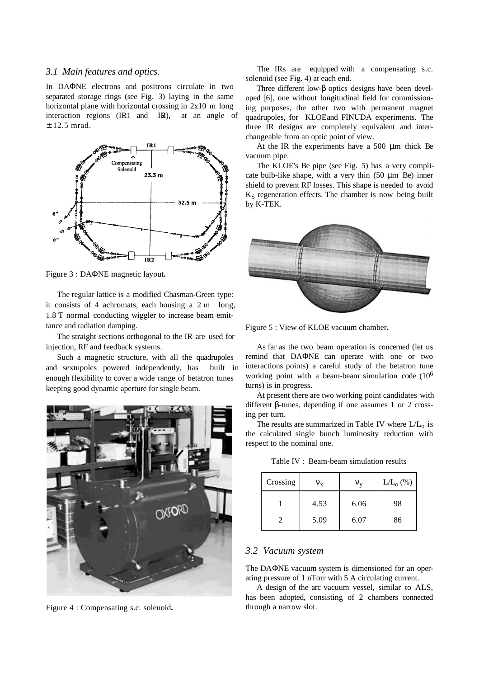#### *3.1 Main features and optics.*

In DAΦNE electrons and positrons circulate in two separated storage rings (see Fig. 3) laying in the same horizontal plane with horizontal crossing in 2x10 m long interaction regions  $(IR1 \text{ and } IR)$ , at an angle of ± 12.5 mrad.



Figure 3 : DAΦNE magnetic layout**.**

The regular lattice is a modified Chasman-Green type: it consists of 4 achromats, each housing a 2 m long, 1.8 T normal conducting wiggler to increase beam emittance and radiation damping.

The straight sections orthogonal to the IR are used for injection, RF and feedback systems.

Such a magnetic structure, with all the quadrupoles and sextupoles powered independently, has built in enough flexibility to cover a wide range of betatron tunes keeping good dynamic aperture for single beam.



Figure 4 : Compensating s.c. solenoid**.**

The IRs are equipped with a compensating s.c. solenoid (see Fig. 4) at each end.

Three different low-β optics designs have been developed [6], one without longitudinal field for commissioning purposes, the other two with permanent magnet quadrupoles, for KLOE and FINUDA experiments. The three IR designs are completely equivalent and interchangeable from an optic point of view.

At the IR the experiments have a 500 µm thick Be vacuum pipe.

The KLOE's Be pipe (see Fig. 5) has a very complicate bulb-like shape, with a very thin  $(50 \mu m$  Be) inner shield to prevent RF losses. This shape is needed to avoid  $K<sub>S</sub>$  regeneration effects. The chamber is now being built by K-TEK.



Figure 5 : View of KLOE vacuum chamber**.**

As far as the two beam operation is concerned (let us remind that DAΦNE can operate with one or two interactions points) a careful study of the betatron tune working point with a beam-beam simulation code (106 turns) is in progress.

At present there are two working point candidates with different β-tunes, depending if one assumes 1 or 2 crossing per turn.

The results are summarized in Table IV where  $L/L_0$  is the calculated single bunch luminosity reduction with respect to the nominal one.

| Crossing | ${\rm v_{x}}$ | ${\rm V}_{\rm V}$ | $L/L_0(\%)$ |
|----------|---------------|-------------------|-------------|
|          | 4.53          | 6.06              | 98          |
|          | 5.09          | 6.07              | 86          |

Table IV : Beam-beam simulation results

#### *3.2 Vacuum system*

The DAΦNE vacuum system is dimensioned for an operating pressure of 1 nTorr with 5 A circulating current.

A design of the arc vacuum vessel, similar to ALS, has been adopted, consisting of 2 chambers connected through a narrow slot.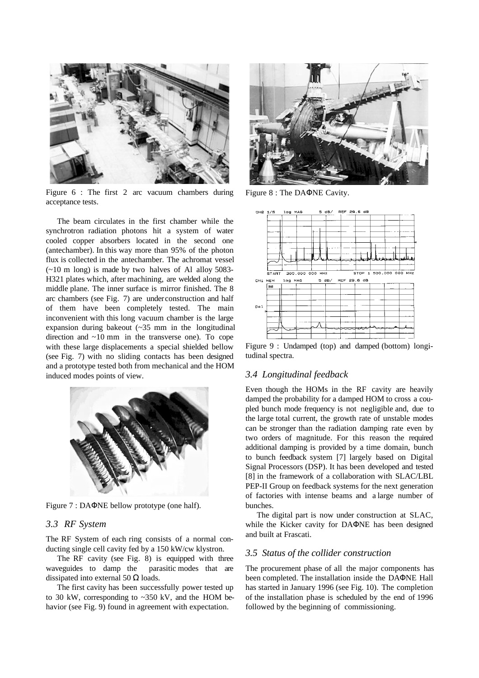

Figure 6 : The first 2 arc vacuum chambers during acceptance tests.

The beam circulates in the first chamber while the synchrotron radiation photons hit a system of water cooled copper absorbers located in the second one (antechamber). In this way more than 95% of the photon flux is collected in the antechamber. The achromat vessel (~10 m long) is made by two halves of Al alloy 5083- H321 plates which, after machining, are welded along the middle plane. The inner surface is mirror finished. The 8 arc chambers (see Fig. 7) are under construction and half of them have been completely tested. The main inconvenient with this long vacuum chamber is the large expansion during bakeout (~35 mm in the longitudinal direction and ~10 mm in the transverse one). To cope with these large displacements a special shielded bellow (see Fig. 7) with no sliding contacts has been designed and a prototype tested both from mechanical and the HOM induced modes points of view.



Figure 7 : DAΦNE bellow prototype (one half).

### *3.3 RF System*

The RF System of each ring consists of a normal conducting single cell cavity fed by a 150 kW/cw klystron.

The RF cavity (see Fig. 8) is equipped with three waveguides to damp the parasitic modes that are dissipated into external 50  $\Omega$  loads.

The first cavity has been successfully power tested up to 30 kW, corresponding to ~350 kV, and the HOM behavior (see Fig. 9) found in agreement with expectation.



Figure 8 : The DAΦNE Cavity.



Figure 9 : Undamped (top) and damped (bottom) longitudinal spectra.

### *3.4 Longitudinal feedback*

Even though the HOMs in the RF cavity are heavily damped the probability for a damped HOM to cross a coupled bunch mode frequency is not negligible and, due to the large total current, the growth rate of unstable modes can be stronger than the radiation damping rate even by two orders of magnitude. For this reason the required additional damping is provided by a time domain, bunch to bunch feedback system [7] largely based on Digital Signal Processors (DSP). It has been developed and tested [8] in the framework of a collaboration with SLAC/LBL PEP-II Group on feedback systems for the next generation of factories with intense beams and a large number of bunches.

The digital part is now under construction at SLAC, while the Kicker cavity for DAΦNE has been designed and built at Frascati.

#### *3.5 Status of the collider construction*

The procurement phase of all the major components has been completed. The installation inside the DAΦNE Hall has started in January 1996 (see Fig. 10). The completion of the installation phase is scheduled by the end of 1996 followed by the beginning of commissioning.